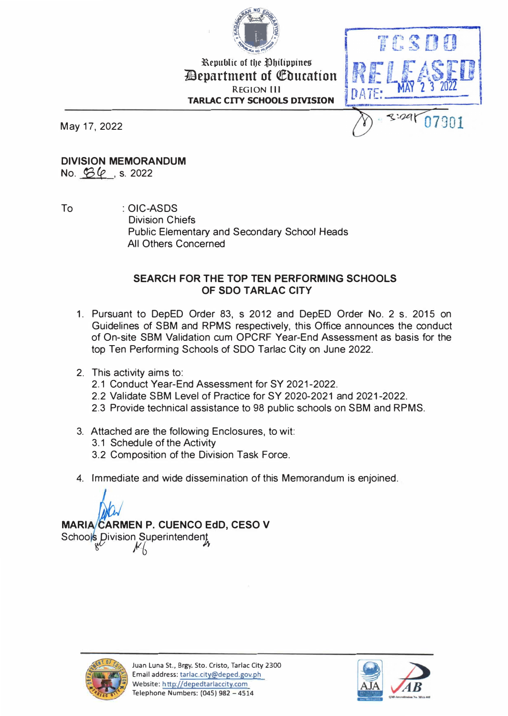

l\epublic of t�e �bHippines *Department of Education* **REGION Ill TARLAC CITY SCHOOLS DIVISION** 



May 17, 2022

#### **DIVISION MEMORANDUM**

No. 43 *(e* , s. <sup>2022</sup>

To : OIC-ASDS Division Chiefs Public Elementary and Secondary School Heads All Others Concerned

#### **SEARCH FOR THE TOP TEN PERFORMING SCHOOLS OF SDO TARLAC CITY**

- 1. Pursuant to DepED Order 83, s 2012 and DepED Order No. 2 s. 2015 on Guidelines of SBM and RPMS respectively, this Office announces the conduct of On-site SBM Validation cum OPCRF Year-End Assessment as basis for the top Ten Performing Schools of SDO Tarlac City on June 2022.
- 2. This activity aims to:
	- 2.1 Conduct Year-End Assessment for SY 2021-2022.
	- 2.2 Validate SBM Level of Practice for SY 2020-2021 and 2021-2022.
	- 2.3 Provide technical assistance to 98 public schools on SBM and RPMS.
- 3. Attached are the following Enclosures, to wit:
	- 3.1 Schedule of the Activity
	- 3.2 Composition of the Division Task Force.
- 4. Immediate and wide dissemination of this Memorandum is enjoined.

# **MARIA CARMEN P. CUENCO EdD, CESO V**

Schools Division Superintendent



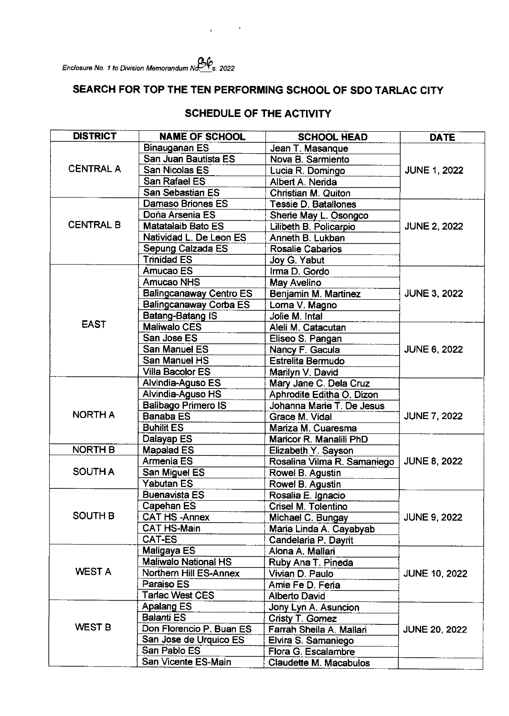Enclosure No. 1 to Division Memorandum No.  $\mathcal{C}_s$  2022

## SEARCH FOR TOP THE TEN PERFORMING SCHOOL OF SDO TARLAC CITY

 $\sim 10^{-10}$ 

 $\ddot{\phantom{a}}$ 

| <b>DISTRICT</b>  | <b>NAME OF SCHOOL</b>          | <b>SCHOOL HEAD</b>          | <b>DATE</b>          |  |
|------------------|--------------------------------|-----------------------------|----------------------|--|
|                  | Binauganan ES                  | Jean T. Masanque            |                      |  |
| <b>CENTRAL A</b> | San Juan Bautista ES           | Nova B. Sarmiento           | <b>JUNE 1, 2022</b>  |  |
|                  | San Nicolas ES                 | Lucia R. Domingo            |                      |  |
|                  | San Rafael ES                  | Albert A. Nerida            |                      |  |
|                  | San Sebastian ES               | Christian M. Quiton         |                      |  |
| <b>CENTRAL B</b> | <b>Damaso Briones ES</b>       | Tessie D. Batallones        |                      |  |
|                  | Dona Arsenia ES                | Sherie May L. Osongco       |                      |  |
|                  | <b>Matatalaib Bato ES</b>      | Lilibeth B. Policarpio      | <b>JUNE 2, 2022</b>  |  |
|                  | Natividad L. De Leon ES        | Anneth B. Lukban            |                      |  |
|                  | Sepung Calzada ES              | <b>Rosalie Cabarios</b>     |                      |  |
|                  | <b>Trinidad ES</b>             | Joy G. Yabut                |                      |  |
|                  | Amucao ES                      | Irma D. Gordo               |                      |  |
|                  | <b>Amucao NHS</b>              | May Avelino                 |                      |  |
|                  | <b>Balingcanaway Centro ES</b> | Benjamin M. Martinez        | <b>JUNE 3, 2022</b>  |  |
|                  | Balingcanaway Corba ES         | Lorna V. Magno              |                      |  |
|                  | Batang-Batang IS               | Jolie M. Intal              |                      |  |
| <b>EAST</b>      | <b>Maliwalo CES</b>            | Aleli M. Catacutan          |                      |  |
|                  | San Jose ES                    | Eliseo S. Pangan            | <b>JUNE 6, 2022</b>  |  |
|                  | San Manuel ES                  | Nancy F. Gacula             |                      |  |
|                  | San Manuel HS                  | <b>Estrelita Bermudo</b>    |                      |  |
|                  | Villa Bacolor ES               | Marilyn V. David            |                      |  |
|                  | Alvindia-Aguso ES              | Mary Jane C. Dela Cruz      |                      |  |
|                  | Alvindia-Aguso HS              | Aphrodite Editha O. Dizon   |                      |  |
|                  | <b>Balibago Primero IS</b>     | Johanna Marie T. De Jesus   | <b>JUNE 7, 2022</b>  |  |
| <b>NORTH A</b>   | <b>Banaba ES</b>               | Grace M. Vidal              |                      |  |
|                  | <b>Buhilit ES</b>              | Mariza M. Cuaresma          |                      |  |
|                  | Dalayap ES                     | Maricor R. Manalili PhD     |                      |  |
| <b>NORTH B</b>   | <b>Mapalad ES</b>              | Elizabeth Y. Sayson         |                      |  |
| <b>SOUTH A</b>   | Armenia ES                     | Rosalina Vilma R. Samaniego | <b>JUNE 8, 2022</b>  |  |
|                  | San Miguel ES                  | Rowel B. Agustin            |                      |  |
|                  | <b>Yabutan ES</b>              | Rowel B. Agustin            |                      |  |
| <b>SOUTH B</b>   | <b>Buenavista ES</b>           | Rosalia E. Ignacio          |                      |  |
|                  | Capehan ES                     | Crisel M. Tolentino         | <b>JUNE 9, 2022</b>  |  |
|                  | CAT HS-Annex                   | Michael C. Bungay           |                      |  |
|                  | <b>CAT HS-Main</b>             | Maria Linda A. Cayabyab     |                      |  |
|                  | <b>CAT-ES</b>                  | Candelaria P. Dayrit        |                      |  |
| <b>WEST A</b>    | Maligaya ES                    | Alona A. Mallari            |                      |  |
|                  | <b>Maliwalo National HS</b>    | Ruby Ana T. Pineda          | <b>JUNE 10, 2022</b> |  |
|                  | Northern Hill ES-Annex         | Vivian D. Paulo             |                      |  |
|                  | Paraiso ES                     | Amie Fe D. Feria            |                      |  |
|                  | Tarlac West CES                | Alberto David               |                      |  |
| <b>WEST B</b>    | Apalang ES                     | Jony Lyn A. Asuncion        |                      |  |
|                  | <b>Balanti ES</b>              | Cristy T. Gomez             | <b>JUNE 20, 2022</b> |  |
|                  | Don Florencio P. Buan ES       | Farrah Sheila A. Mallari    |                      |  |
|                  | San Jose de Urquico ES         | Elvira S. Samaniego         |                      |  |
|                  | San Pablo ES                   | Flora G. Escalambre         |                      |  |
|                  | San Vicente ES-Main            | Claudette M. Macabulos      |                      |  |

## **SCHEDULE OF THE ACTIVITY**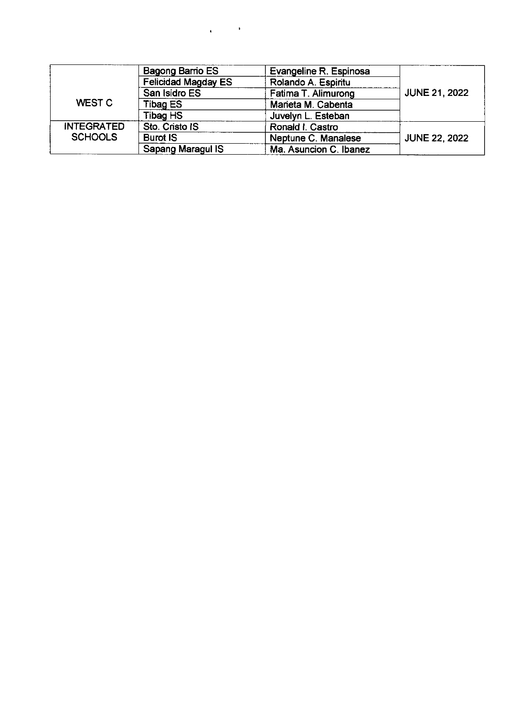|                   | Bagong Barrio ES           | Evangeline R. Espinosa |                      |  |
|-------------------|----------------------------|------------------------|----------------------|--|
|                   | <b>Felicidad Magday ES</b> | Rolando A. Espiritu    |                      |  |
|                   | San Isidro ES              | Fatima T. Alimurong    | <b>JUNE 21, 2022</b> |  |
| WEST C            | Tibag ES                   | Marieta M. Cabenta     |                      |  |
|                   | Tibag HS                   | Juvelyn L. Esteban     |                      |  |
| <b>INTEGRATED</b> | Sto. Cristo IS             | Ronald I. Castro       |                      |  |
| <b>SCHOOLS</b>    | <b>Burot IS</b>            | Neptune C. Manalese    | <b>JUNE 22, 2022</b> |  |
|                   | Sapang Maragul IS          | Ma. Asuncion C. Ibanez |                      |  |

 $\Delta \phi = 0.01$  and